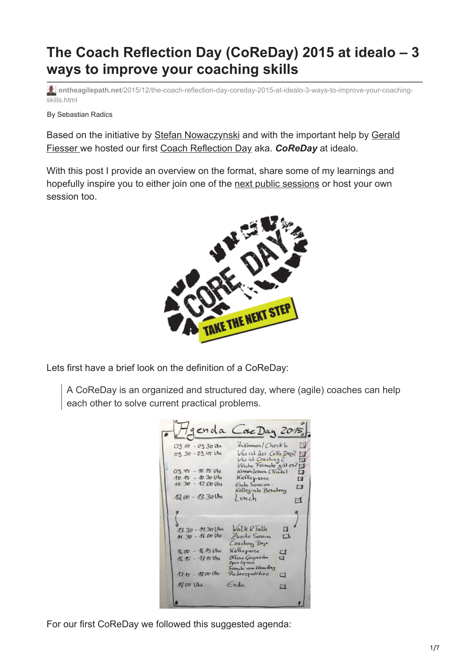# **The Coach Reflection Day (CoReDay) 2015 at idealo – 3 ways to improve your coaching skills**

**ontheagilepath.net**[/2015/12/the-coach-reflection-day-coreday-2015-at-idealo-3-ways-to-improve-your-coaching](https://www.ontheagilepath.net/2015/12/the-coach-reflection-day-coreday-2015-at-idealo-3-ways-to-improve-your-coaching-skills.html)skills.html

By Sebastian Radics

[Based on the initiative by S](https://www.xing.com/profile/Gerald_Fiesser)[tefan Nowaczynski](http://www.stefan-nowaczynski.de/what-a-day-what-a-lovely-day-der-core-day-2015-bei-idealo/) [and with the important help by Gerald](https://www.xing.com/profile/Gerald_Fiesser) Fiesser we hosted our first [Coach Reflection Day](http://www.coachreflectionday.org/en/) aka. *CoReDay* at idealo.

With this post I provide an overview on the format, share some of my learnings and hopefully inspire you to either join one of the [next public sessions](http://www.coachreflectionday.org/n%C3%A4chste-events/) or host your own session too.



Lets first have a brief look on the definition of a CoReDay:

A CoReDay is an organized and structured day, where (agile) coaches can help each other to solve current practical problems.

| 03.00 - 03.30 Um    | Hukommen/ Check-In<br>Γι                                                 |
|---------------------|--------------------------------------------------------------------------|
| 03.30-03.45 Uhr     | Vasist des Core Day? IV<br>Was ist Coaching 2<br>Velche Folmate gill es? |
| $03.45 - 10.15$ Uhl | Kennenlehmen (Tarade)<br>IJ                                              |
| $10.45 - 10.30$ Uha | Kaffeperse<br>۲V                                                         |
| 10.30 - 12.00 Uht   | Elste Session:<br>п<br>Kollegiale Belating                               |
| $12.00 - 13.30$ Uni | Lunch<br>М                                                               |
|                     |                                                                          |
|                     |                                                                          |
| 13.30 - 14.30 Uhr   | <i>Valk &amp; Talk</i>                                                   |
| 14.30 - 16.00 Uhr   | Zveile Sessing<br>Coaching Doje                                          |
| $1600 - 16150h$     | Kalteparse                                                               |
| 16.15 - 17.15 Uhr   | $\Xi$<br>Officie Gesphäche<br>Open Space                                 |
| 17.15 - 18.00 Uhs   | Formate room Voimillag<br>Retrospektive<br>□                             |
| 18.00 Uhr           | Ende<br>∼                                                                |

For our first CoReDay we followed this suggested agenda: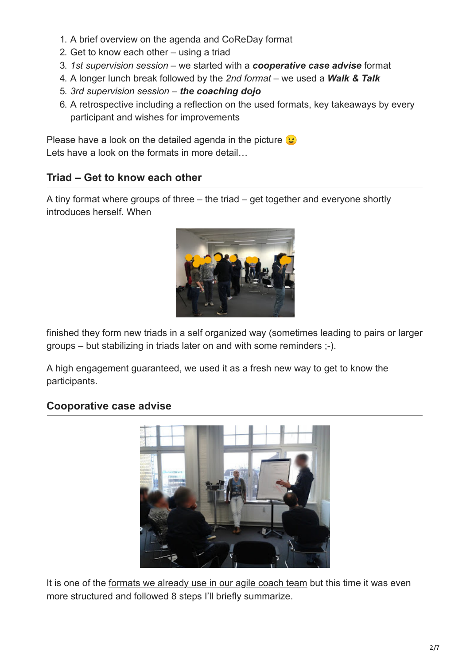- 1. A brief overview on the agenda and CoReDay format
- 2. Get to know each other using a triad
- 3. *1st supervision session* we started with a *cooperative case advise* format
- 4. A longer lunch break followed by the *2nd format* we used a *Walk & Talk*
- 5. *3rd supervision session the coaching dojo*
- 6. A retrospective including a reflection on the used formats, key takeaways by every participant and wishes for improvements

Please have a look on the detailed agenda in the picture  $\odot$ Lets have a look on the formats in more detail...

### **Triad – Get to know each other**

A tiny format where groups of three – the triad – get together and everyone shortly introduces herself. When



finished they form new triads in a self organized way (sometimes leading to pairs or larger groups – but stabilizing in triads later on and with some reminders ;-).

A high engagement guaranteed, we used it as a fresh new way to get to know the participants.

### **Cooporative case advise**



It is one of the [formats we already use in our agile coach team](http://www.ontheagilepath.net/?p=20) but this time it was even more structured and followed 8 steps I'll briefly summarize.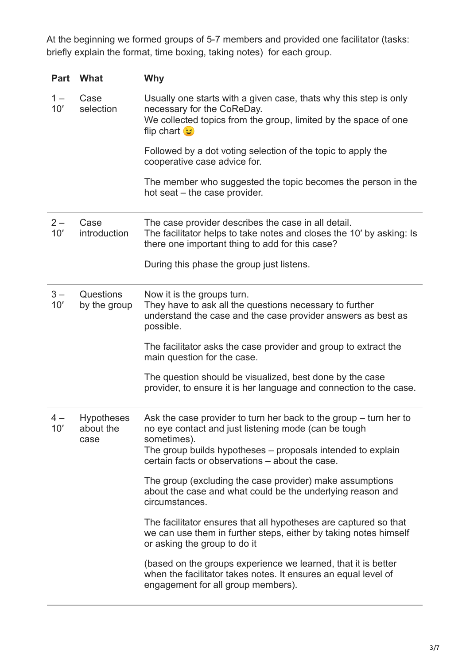At the beginning we formed groups of 5-7 members and provided one facilitator (tasks: briefly explain the format, time boxing, taking notes) for each group.

| <b>Part</b>  | What                                   | <b>Why</b>                                                                                                                                                                                |
|--------------|----------------------------------------|-------------------------------------------------------------------------------------------------------------------------------------------------------------------------------------------|
| $1 -$<br>10' | Case<br>selection                      | Usually one starts with a given case, thats why this step is only<br>necessary for the CoReDay.<br>We collected topics from the group, limited by the space of one<br>flip chart <b>t</b> |
|              |                                        | Followed by a dot voting selection of the topic to apply the<br>cooperative case advice for.                                                                                              |
|              |                                        | The member who suggested the topic becomes the person in the<br>hot seat - the case provider.                                                                                             |
| $2-$<br>10'  | Case<br>introduction                   | The case provider describes the case in all detail.<br>The facilitator helps to take notes and closes the 10' by asking: Is<br>there one important thing to add for this case?            |
|              |                                        | During this phase the group just listens.                                                                                                                                                 |
| $3 -$<br>10' | Questions<br>by the group              | Now it is the groups turn.<br>They have to ask all the questions necessary to further<br>understand the case and the case provider answers as best as<br>possible.                        |
|              |                                        | The facilitator asks the case provider and group to extract the<br>main question for the case.                                                                                            |
|              |                                        | The question should be visualized, best done by the case<br>provider, to ensure it is her language and connection to the case.                                                            |
| 4 –<br>10'   | <b>Hypotheses</b><br>about the<br>case | Ask the case provider to turn her back to the group – turn her to<br>no eye contact and just listening mode (can be tough<br>sometimes).                                                  |
|              |                                        | The group builds hypotheses – proposals intended to explain<br>certain facts or observations - about the case.                                                                            |
|              |                                        | The group (excluding the case provider) make assumptions<br>about the case and what could be the underlying reason and<br>circumstances.                                                  |
|              |                                        | The facilitator ensures that all hypotheses are captured so that<br>we can use them in further steps, either by taking notes himself<br>or asking the group to do it                      |
|              |                                        | (based on the groups experience we learned, that it is better<br>when the facilitator takes notes. It ensures an equal level of<br>engagement for all group members).                     |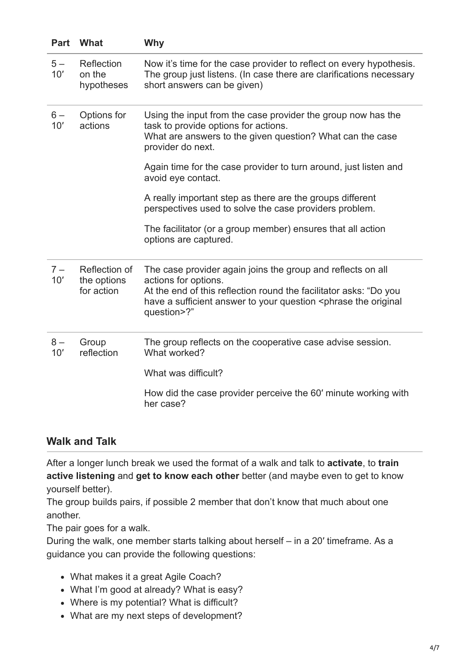| Part         | What                                       | Why                                                                                                                                                                                                                                                         |
|--------------|--------------------------------------------|-------------------------------------------------------------------------------------------------------------------------------------------------------------------------------------------------------------------------------------------------------------|
| $5-$<br>10'  | Reflection<br>on the<br>hypotheses         | Now it's time for the case provider to reflect on every hypothesis.<br>The group just listens. (In case there are clarifications necessary<br>short answers can be given)                                                                                   |
| $6-$<br>10'  | Options for<br>actions                     | Using the input from the case provider the group now has the<br>task to provide options for actions.<br>What are answers to the given question? What can the case<br>provider do next.                                                                      |
|              |                                            | Again time for the case provider to turn around, just listen and<br>avoid eye contact.                                                                                                                                                                      |
|              |                                            | A really important step as there are the groups different<br>perspectives used to solve the case providers problem.                                                                                                                                         |
|              |                                            | The facilitator (or a group member) ensures that all action<br>options are captured.                                                                                                                                                                        |
| $7 -$<br>10' | Reflection of<br>the options<br>for action | The case provider again joins the group and reflects on all<br>actions for options.<br>At the end of this reflection round the facilitator asks: "Do you<br>have a sufficient answer to your question <phrase original<br="" the="">question&gt;?"</phrase> |
| $8-$<br>10'  | Group<br>reflection                        | The group reflects on the cooperative case advise session.<br>What worked?                                                                                                                                                                                  |
|              |                                            | What was difficult?                                                                                                                                                                                                                                         |
|              |                                            | How did the case provider perceive the 60' minute working with<br>her case?                                                                                                                                                                                 |

### **Walk and Talk**

After a longer lunch break we used the format of a walk and talk to **activate**, to **train active listening** and **get to know each other** better (and maybe even to get to know yourself better).

The group builds pairs, if possible 2 member that don't know that much about one another.

The pair goes for a walk.

During the walk, one member starts talking about herself – in a 20′ timeframe. As a guidance you can provide the following questions:

- What makes it a great Agile Coach?
- What I'm good at already? What is easy?
- Where is my potential? What is difficult?
- What are my next steps of development?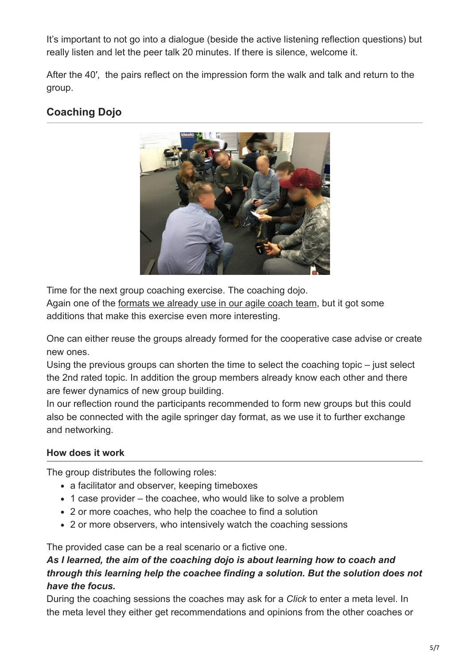It's important to not go into a dialogue (beside the active listening reflection questions) but really listen and let the peer talk 20 minutes. If there is silence, welcome it.

After the 40′, the pairs reflect on the impression form the walk and talk and return to the group.

## **Coaching Dojo**



Time for the next group coaching exercise. The coaching dojo.

Again one of the [formats we already use in our agile coach team](http://www.ontheagilepath.net/?p=20), but it got some additions that make this exercise even more interesting.

One can either reuse the groups already formed for the cooperative case advise or create new ones.

Using the previous groups can shorten the time to select the coaching topic – just select the 2nd rated topic. In addition the group members already know each other and there are fewer dynamics of new group building.

In our reflection round the participants recommended to form new groups but this could also be connected with the agile springer day format, as we use it to further exchange and networking.

### **How does it work**

The group distributes the following roles:

- a facilitator and observer, keeping timeboxes
- 1 case provider the coachee, who would like to solve a problem
- 2 or more coaches, who help the coachee to find a solution
- 2 or more observers, who intensively watch the coaching sessions

The provided case can be a real scenario or a fictive one.

### *As I learned, the aim of the coaching dojo is about learning how to coach and through this learning help the coachee finding a solution. But the solution does not have the focus.*

During the coaching sessions the coaches may ask for a *Click* to enter a meta level. In the meta level they either get recommendations and opinions from the other coaches or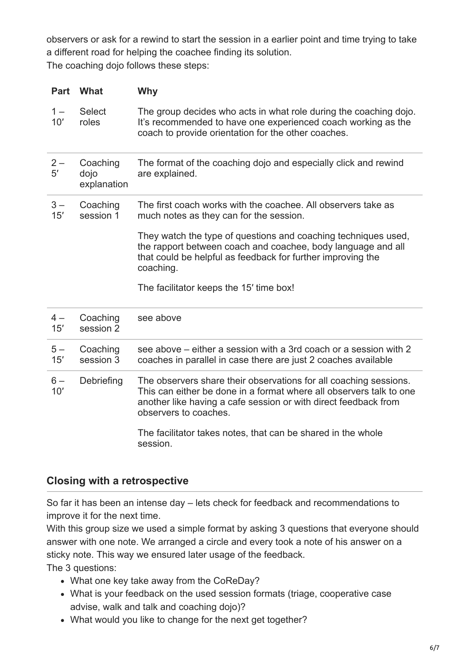observers or ask for a rewind to start the session in a earlier point and time trying to take a different road for helping the coachee finding its solution. The coaching dojo follows these steps:

| <b>Part</b>  | What                            | Why                                                                                                                                                                                                                                  |
|--------------|---------------------------------|--------------------------------------------------------------------------------------------------------------------------------------------------------------------------------------------------------------------------------------|
| $1 -$<br>10' | <b>Select</b><br>roles          | The group decides who acts in what role during the coaching dojo.<br>It's recommended to have one experienced coach working as the<br>coach to provide orientation for the other coaches.                                            |
| $2-$<br>5'   | Coaching<br>dojo<br>explanation | The format of the coaching dojo and especially click and rewind<br>are explained.                                                                                                                                                    |
| $3 -$<br>15' | Coaching<br>session 1           | The first coach works with the coachee. All observers take as<br>much notes as they can for the session.                                                                                                                             |
|              |                                 | They watch the type of questions and coaching techniques used,<br>the rapport between coach and coachee, body language and all<br>that could be helpful as feedback for further improving the<br>coaching.                           |
|              |                                 | The facilitator keeps the 15' time box!                                                                                                                                                                                              |
| $4-$<br>15'  | Coaching<br>session 2           | see above                                                                                                                                                                                                                            |
| $5-$<br>15'  | Coaching<br>session 3           | see above – either a session with a 3rd coach or a session with 2<br>coaches in parallel in case there are just 2 coaches available                                                                                                  |
| $6-$<br>10'  | Debriefing                      | The observers share their observations for all coaching sessions.<br>This can either be done in a format where all observers talk to one<br>another like having a cafe session or with direct feedback from<br>observers to coaches. |
|              |                                 | The facilitator takes notes, that can be shared in the whole<br>session.                                                                                                                                                             |

### **Closing with a retrospective**

So far it has been an intense day – lets check for feedback and recommendations to improve it for the next time.

With this group size we used a simple format by asking 3 questions that everyone should answer with one note. We arranged a circle and every took a note of his answer on a sticky note. This way we ensured later usage of the feedback.

The 3 questions:

- What one key take away from the CoReDay?
- What is your feedback on the used session formats (triage, cooperative case advise, walk and talk and coaching dojo)?
- What would you like to change for the next get together?